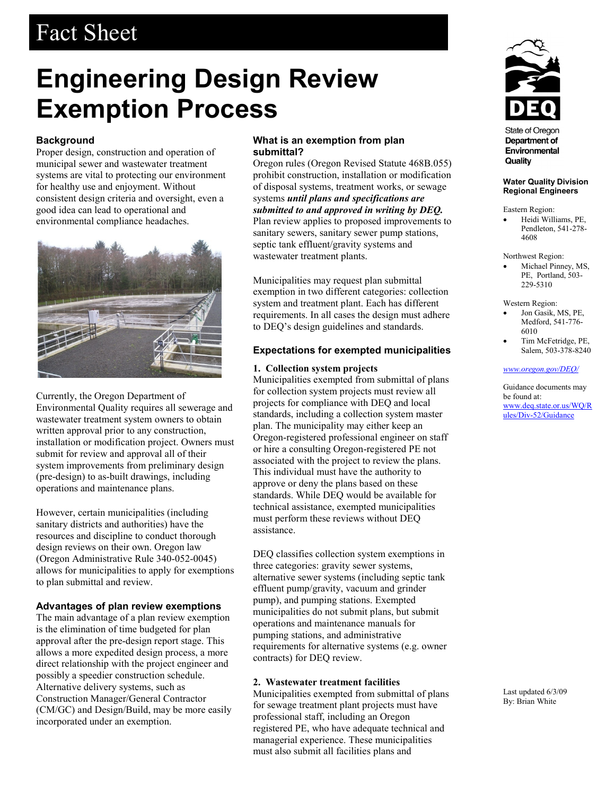# Fact Sheet

# **Engineering Design Review Exemption Process**

# **Background**

Proper design, construction and operation of municipal sewer and wastewater treatment systems are vital to protecting our environment for healthy use and enjoyment. Without consistent design criteria and oversight, even a good idea can lead to operational and environmental compliance headaches.



Currently, the Oregon Department of Environmental Quality requires all sewerage and wastewater treatment system owners to obtain written approval prior to any construction, installation or modification project. Owners must submit for review and approval all of their system improvements from preliminary design (pre-design) to as-built drawings, including operations and maintenance plans.

However, certain municipalities (including sanitary districts and authorities) have the resources and discipline to conduct thorough design reviews on their own. Oregon law (Oregon Administrative Rule 340-052-0045) allows for municipalities to apply for exemptions to plan submittal and review.

## **Advantages of plan review exemptions**

The main advantage of a plan review exemption is the elimination of time budgeted for plan approval after the pre-design report stage. This allows a more expedited design process, a more direct relationship with the project engineer and possibly a speedier construction schedule. Alternative delivery systems, such as Construction Manager/General Contractor (CM/GC) and Design/Build, may be more easily incorporated under an exemption.

## **What is an exemption from plan submittal?**

Oregon rules (Oregon Revised Statute 468B.055) prohibit construction, installation or modification of disposal systems, treatment works, or sewage systems *until plans and specifications are submitted to and approved in writing by DEQ.* Plan review applies to proposed improvements to sanitary sewers, sanitary sewer pump stations, septic tank effluent/gravity systems and wastewater treatment plants.

Municipalities may request plan submittal exemption in two different categories: collection system and treatment plant. Each has different requirements. In all cases the design must adhere to DEQ's design guidelines and standards.

# **Expectations for exempted municipalities**

### **1. Collection system projects**

Municipalities exempted from submittal of plans for collection system projects must review all projects for compliance with DEQ and local standards, including a collection system master plan. The municipality may either keep an Oregon-registered professional engineer on staff or hire a consulting Oregon-registered PE not associated with the project to review the plans. This individual must have the authority to approve or deny the plans based on these standards. While DEQ would be available for technical assistance, exempted municipalities must perform these reviews without DEQ assistance.

DEQ classifies collection system exemptions in three categories: gravity sewer systems, alternative sewer systems (including septic tank effluent pump/gravity, vacuum and grinder pump), and pumping stations. Exempted municipalities do not submit plans, but submit operations and maintenance manuals for pumping stations, and administrative requirements for alternative systems (e.g. owner contracts) for DEQ review.

## **2. Wastewater treatment facilities**

Municipalities exempted from submittal of plans for sewage treatment plant projects must have professional staff, including an Oregon registered PE, who have adequate technical and managerial experience. These municipalities must also submit all facilities plans and



**State of Oregon** Department of Environmental Quality

#### **Water Quality Division Regional Engineers**

Eastern Region:

• Heidi Williams, PE, Pendleton, 541-278- 4608

Northwest Region:

• Michael Pinney, MS, PE, Portland, 503- 229-5310

Western Region:

- Jon Gasik, MS, PE, Medford, 541-776- 6010
- Tim McFetridge, PE, Salem, 503-378-8240

### *www.oregon.gov/DEQ/*

Guidance documents may be found at: www.deq.state.or.us/WQ/R ules/Div-52/Guidance

Last updated 6/3/09 By: Brian White